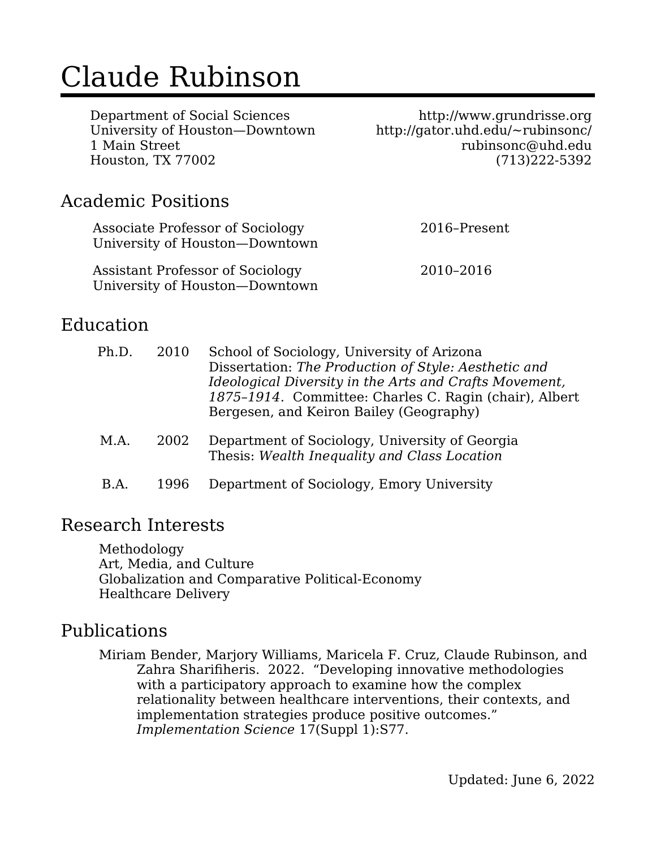# Claude Rubinson

Department of Social Sciences University of Houston—Downtown 1 Main Street Houston, TX 77002

http://www.grundrisse.org http://gator.uhd.edu/~rubinsonc/ rubinsonc@uhd.edu (713)222-5392

#### Academic Positions

| Associate Professor of Sociology<br>University of Houston-Downtown | 2016-Present |
|--------------------------------------------------------------------|--------------|
| Assistant Professor of Sociology<br>University of Houston-Downtown | 2010-2016    |

#### Education

| Ph.D. | 2010 | School of Sociology, University of Arizona<br>Dissertation: The Production of Style: Aesthetic and<br>Ideological Diversity in the Arts and Crafts Movement,<br>1875-1914. Committee: Charles C. Ragin (chair), Albert<br>Bergesen, and Keiron Bailey (Geography) |
|-------|------|-------------------------------------------------------------------------------------------------------------------------------------------------------------------------------------------------------------------------------------------------------------------|
| M.A.  | 2002 | Department of Sociology, University of Georgia<br>Thesis: Wealth Inequality and Class Location                                                                                                                                                                    |
| B.A   | 1996 | Department of Sociology, Emory University                                                                                                                                                                                                                         |

#### Research Interests

Methodology Art, Media, and Culture Globalization and Comparative Political-Economy Healthcare Delivery

#### Publications

Miriam Bender, Marjory Williams, Maricela F. Cruz, Claude Rubinson, and Zahra Sharifiheris. 2022. "Developing innovative methodologies with a participatory approach to examine how the complex relationality between healthcare interventions, their contexts, and implementation strategies produce positive outcomes." *Implementation Science* 17(Suppl 1):S77.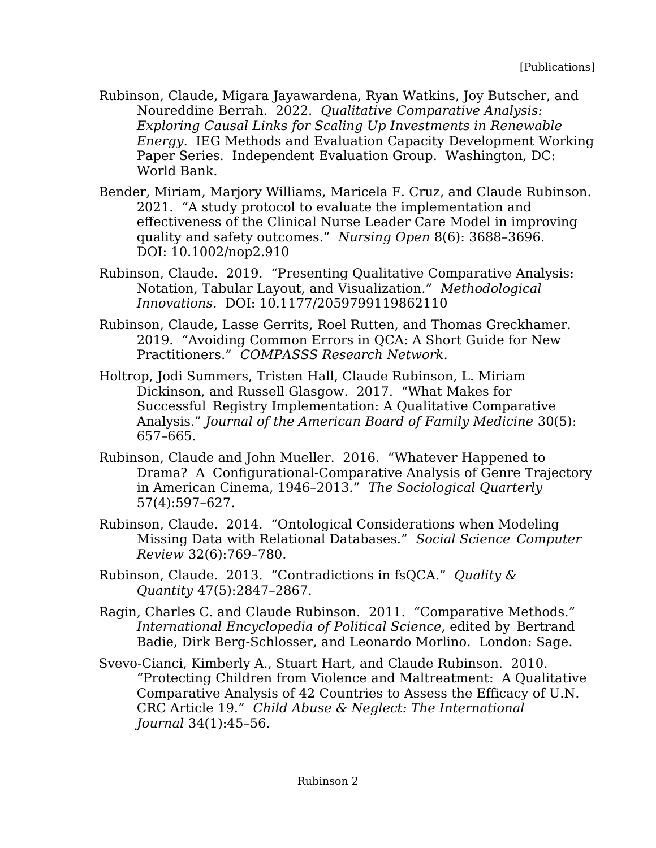- Rubinson, Claude, Migara Jayawardena, Ryan Watkins, Joy Butscher, and Noureddine Berrah. 2022. *Qualitative Comparative Analysis: Exploring Causal Links for Scaling Up Investments in Renewable Energy.* IEG Methods and Evaluation Capacity Development Working Paper Series. Independent Evaluation Group. Washington, DC: World Bank.
- Bender, Miriam, Marjory Williams, Maricela F. Cruz, and Claude Rubinson. 2021. "A study protocol to evaluate the implementation and effectiveness of the Clinical Nurse Leader Care Model in improving quality and safety outcomes." *Nursing Open* 8(6): 3688–3696. DOI: 10.1002/nop2.910
- Rubinson, Claude. 2019. "Presenting Qualitative Comparative Analysis: Notation, Tabular Layout, and Visualization." *Methodological Innovations.* DOI: 10.1177/2059799119862110
- Rubinson, Claude, Lasse Gerrits, Roel Rutten, and Thomas Greckhamer. 2019. "Avoiding Common Errors in QCA: A Short Guide for New Practitioners." *COMPASSS Research Network*.
- Holtrop, Jodi Summers, Tristen Hall, Claude Rubinson, L. Miriam Dickinson, and Russell Glasgow. 2017. "What Makes for Successful Registry Implementation: A Qualitative Comparative Analysis." *Journal of the American Board of Family Medicine* 30(5): 657–665.
- Rubinson, Claude and John Mueller. 2016. "Whatever Happened to Drama? A Configurational-Comparative Analysis of Genre Trajectory in American Cinema, 1946–2013." *The Sociological Quarterly*  57(4):597–627*.*
- Rubinson, Claude. 2014. "Ontological Considerations when Modeling Missing Data with Relational Databases." *Social Science Computer Review* 32(6):769–780.
- Rubinson, Claude. 2013. "Contradictions in fsQCA." *Quality & Quantity* 47(5):2847–2867.
- Ragin, Charles C. and Claude Rubinson. 2011. "Comparative Methods." *International Encyclopedia of Political Science*, edited by Bertrand Badie, Dirk Berg-Schlosser, and Leonardo Morlino. London: Sage.
- Svevo-Cianci, Kimberly A., Stuart Hart, and Claude Rubinson. 2010. "Protecting Children from Violence and Maltreatment: A Qualitative Comparative Analysis of 42 Countries to Assess the Efficacy of U.N. CRC Article 19." *Child Abuse & Neglect: The International Journal* 34(1):45–56.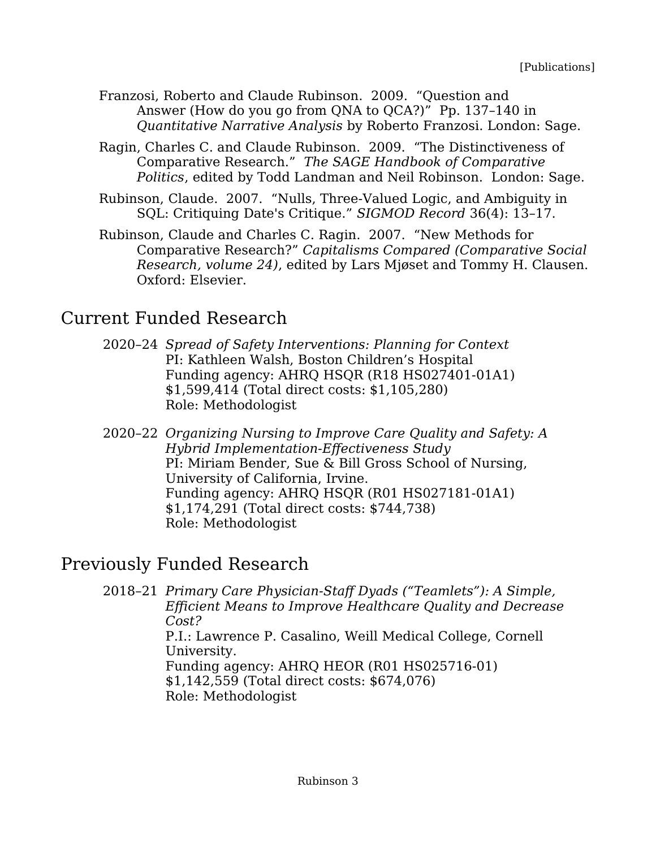- Franzosi, Roberto and Claude Rubinson. 2009. "Question and Answer (How do you go from QNA to QCA?)" Pp. 137–140 in *Quantitative Narrative Analysis* by Roberto Franzosi. London: Sage.
- Ragin, Charles C. and Claude Rubinson. 2009. "The Distinctiveness of Comparative Research." *The SAGE Handbook of Comparative Politics*, edited by Todd Landman and Neil Robinson. London: Sage.
- Rubinson, Claude. 2007. "Nulls, Three-Valued Logic, and Ambiguity in SQL: Critiquing Date's Critique." *SIGMOD Record* 36(4): 13–17.
- Rubinson, Claude and Charles C. Ragin. 2007. "New Methods for Comparative Research?" *Capitalisms Compared (Comparative Social Research, volume 24)*, edited by Lars Mjøset and Tommy H. Clausen. Oxford: Elsevier.

## Current Funded Research

- 2020–24 *Spread of Safety Interventions: Planning for Context* PI: Kathleen Walsh, Boston Children's Hospital Funding agency: AHRQ HSQR (R18 HS027401-01A1) \$1,599,414 (Total direct costs: \$1,105,280) Role: Methodologist
- 2020–22 *Organizing Nursing to Improve Care Quality and Safety: A Hybrid Implementation-Effectiveness Study* PI: Miriam Bender, Sue & Bill Gross School of Nursing, University of California, Irvine. Funding agency: AHRQ HSQR (R01 HS027181-01A1) \$1,174,291 (Total direct costs: \$744,738) Role: Methodologist

## Previously Funded Research

2018–21 *Primary Care Physician-Staff Dyads ("Teamlets"): A Simple, Efficient Means to Improve Healthcare Quality and Decrease Cost?* P.I.: Lawrence P. Casalino, Weill Medical College, Cornell University. Funding agency: AHRQ HEOR (R01 HS025716-01) \$1,142,559 (Total direct costs: \$674,076) Role: Methodologist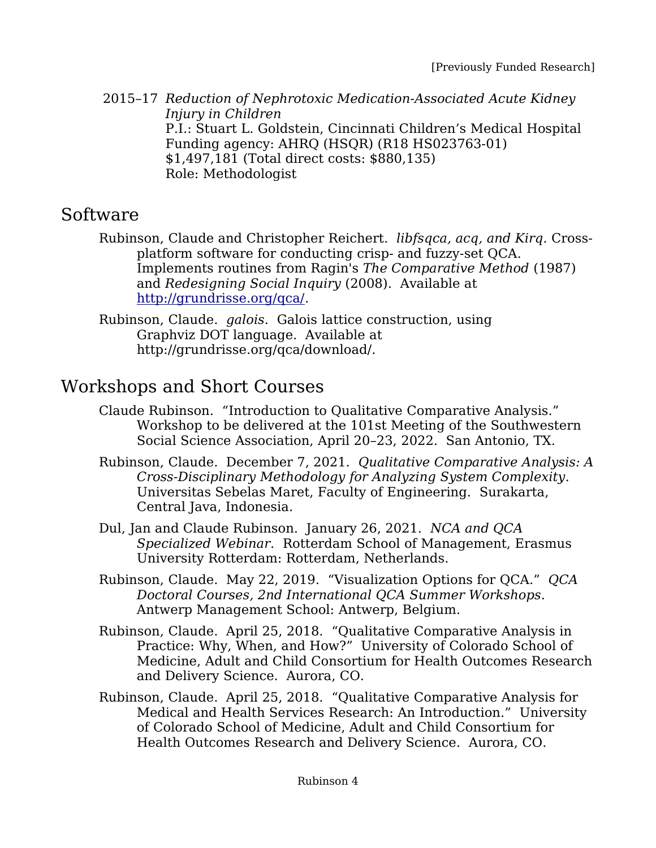2015–17 *Reduction of Nephrotoxic Medication-Associated Acute Kidney Injury in Children* P.I.: Stuart L. Goldstein, Cincinnati Children's Medical Hospital Funding agency: AHRQ (HSQR) (R18 HS023763-01) \$1,497,181 (Total direct costs: \$880,135) Role: Methodologist

#### Software

Rubinson, Claude and Christopher Reichert. *libfsqca, acq, and Kirq.* Crossplatform software for conducting crisp- and fuzzy-set QCA. Implements routines from Ragin's *The Comparative Method* (1987) and *Redesigning Social Inquiry* (2008). Available at [http://grundrisse.org/qca/.](http://grundrisse.org/qca/)

Rubinson, Claude. *galois*. Galois lattice construction, using Graphviz DOT language. Available at http://grundrisse.org/qca/download/.

## Workshops and Short Courses

- Claude Rubinson. "Introduction to Qualitative Comparative Analysis." Workshop to be delivered at the 101st Meeting of the Southwestern Social Science Association, April 20–23, 2022. San Antonio, TX.
- Rubinson, Claude. December 7, 2021. *Qualitative Comparative Analysis: A Cross-Disciplinary Methodology for Analyzing System Complexity.* Universitas Sebelas Maret, Faculty of Engineering. Surakarta, Central Java, Indonesia.
- Dul, Jan and Claude Rubinson. January 26, 2021. *NCA and QCA Specialized Webinar.* Rotterdam School of Management, Erasmus University Rotterdam: Rotterdam, Netherlands.
- Rubinson, Claude. May 22, 2019. "Visualization Options for QCA." *QCA Doctoral Courses, 2nd International QCA Summer Workshops.* Antwerp Management School: Antwerp, Belgium.
- Rubinson, Claude. April 25, 2018. "Qualitative Comparative Analysis in Practice: Why, When, and How?" University of Colorado School of Medicine, Adult and Child Consortium for Health Outcomes Research and Delivery Science. Aurora, CO.
- Rubinson, Claude. April 25, 2018. "Qualitative Comparative Analysis for Medical and Health Services Research: An Introduction." University of Colorado School of Medicine, Adult and Child Consortium for Health Outcomes Research and Delivery Science. Aurora, CO.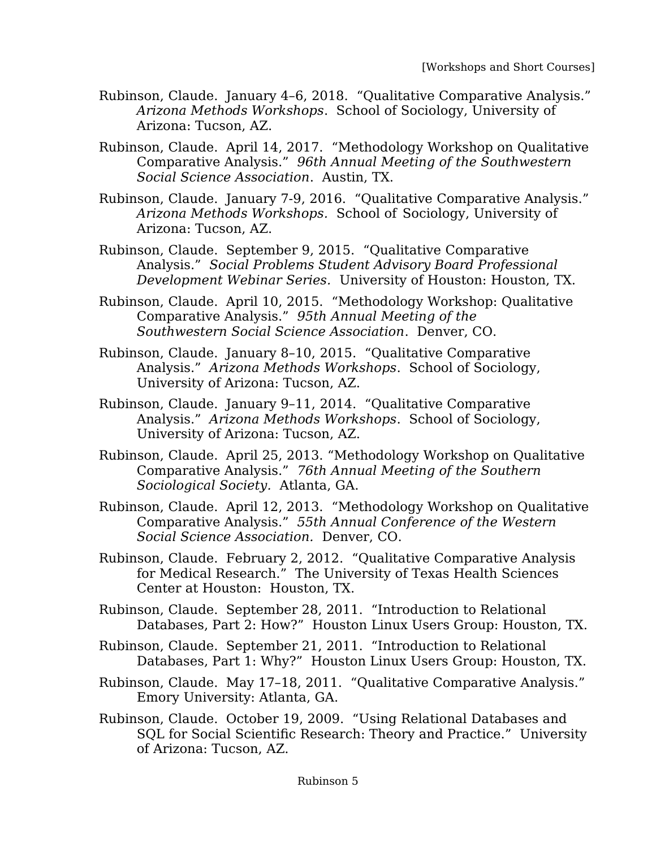- Rubinson, Claude. January 4–6, 2018. "Qualitative Comparative Analysis." *Arizona Methods Workshops*. School of Sociology, University of Arizona: Tucson, AZ.
- Rubinson, Claude. April 14, 2017. "Methodology Workshop on Qualitative Comparative Analysis." *96th Annual Meeting of the Southwestern Social Science Association*. Austin, TX.
- Rubinson, Claude. January 7-9, 2016. "Qualitative Comparative Analysis." *Arizona Methods Workshops.* School of Sociology, University of Arizona: Tucson, AZ.
- Rubinson, Claude. September 9, 2015. "Qualitative Comparative Analysis." *Social Problems Student Advisory Board Professional Development Webinar Series.* University of Houston: Houston, TX.
- Rubinson, Claude. April 10, 2015. "Methodology Workshop: Qualitative Comparative Analysis." *95th Annual Meeting of the Southwestern Social Science Association*. Denver, CO.
- Rubinson, Claude. January 8–10, 2015. "Qualitative Comparative Analysis." *Arizona Methods Workshops*. School of Sociology, University of Arizona: Tucson, AZ.
- Rubinson, Claude. January 9–11, 2014. "Qualitative Comparative Analysis." *Arizona Methods Workshops*. School of Sociology, University of Arizona: Tucson, AZ.
- Rubinson, Claude. April 25, 2013. "Methodology Workshop on Qualitative Comparative Analysis." *76th Annual Meeting of the Southern Sociological Society.* Atlanta, GA.
- Rubinson, Claude. April 12, 2013. "Methodology Workshop on Qualitative Comparative Analysis." *55th Annual Conference of the Western Social Science Association.* Denver, CO.
- Rubinson, Claude. February 2, 2012. "Qualitative Comparative Analysis for Medical Research." The University of Texas Health Sciences Center at Houston: Houston, TX.
- Rubinson, Claude. September 28, 2011. "Introduction to Relational Databases, Part 2: How?" Houston Linux Users Group: Houston, TX.
- Rubinson, Claude. September 21, 2011. "Introduction to Relational Databases, Part 1: Why?" Houston Linux Users Group: Houston, TX.
- Rubinson, Claude. May 17–18, 2011. "Qualitative Comparative Analysis." Emory University: Atlanta, GA.
- Rubinson, Claude. October 19, 2009. "Using Relational Databases and SQL for Social Scientific Research: Theory and Practice." University of Arizona: Tucson, AZ.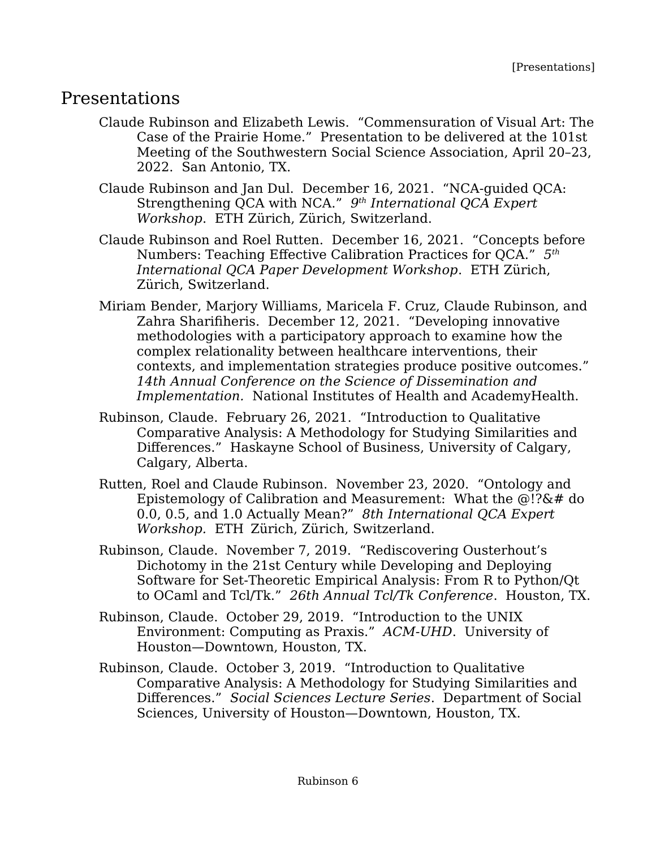### Presentations

Claude Rubinson and Elizabeth Lewis. "Commensuration of Visual Art: The Case of the Prairie Home." Presentation to be delivered at the 101st Meeting of the Southwestern Social Science Association, April 20–23, 2022. San Antonio, TX.

Claude Rubinson and Jan Dul. December 16, 2021. "NCA-guided QCA: Strengthening QCA with NCA." *9 th International QCA Expert Workshop*. ETH Zürich, Zürich, Switzerland.

Claude Rubinson and Roel Rutten. December 16, 2021. "Concepts before Numbers: Teaching Effective Calibration Practices for QCA." *5 th International QCA Paper Development Workshop*. ETH Zürich, Zürich, Switzerland.

- Miriam Bender, Marjory Williams, Maricela F. Cruz, Claude Rubinson, and Zahra Sharifiheris. December 12, 2021. "Developing innovative methodologies with a participatory approach to examine how the complex relationality between healthcare interventions, their contexts, and implementation strategies produce positive outcomes." *14th Annual Conference on the Science of Dissemination and Implementation.* National Institutes of Health and AcademyHealth.
- Rubinson, Claude. February 26, 2021. "Introduction to Qualitative Comparative Analysis: A Methodology for Studying Similarities and Differences." Haskayne School of Business, University of Calgary, Calgary, Alberta.
- Rutten, Roel and Claude Rubinson. November 23, 2020. "Ontology and Epistemology of Calibration and Measurement: What the @!?&# do 0.0, 0.5, and 1.0 Actually Mean?" *8th International QCA Expert Workshop.* ETH Zürich, Zürich, Switzerland.
- Rubinson, Claude. November 7, 2019. "Rediscovering Ousterhout's Dichotomy in the 21st Century while Developing and Deploying Software for Set-Theoretic Empirical Analysis: From R to Python/Qt to OCaml and Tcl/Tk." *26th Annual Tcl/Tk Conference*. Houston, TX.
- Rubinson, Claude. October 29, 2019. "Introduction to the UNIX Environment: Computing as Praxis." *ACM-UHD*. University of Houston—Downtown, Houston, TX.
- Rubinson, Claude. October 3, 2019. "Introduction to Qualitative Comparative Analysis: A Methodology for Studying Similarities and Differences." *Social Sciences Lecture Series*. Department of Social Sciences, University of Houston—Downtown, Houston, TX.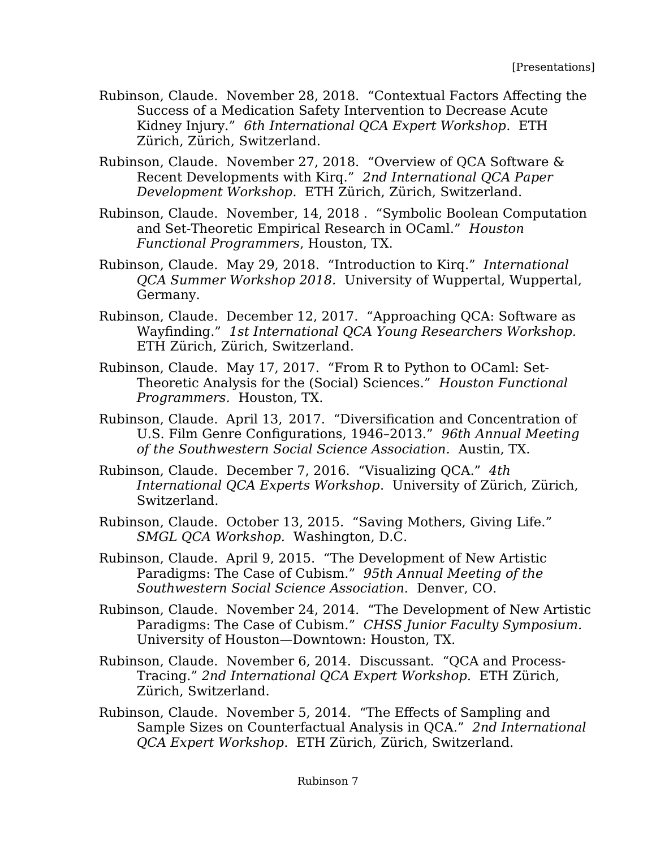- Rubinson, Claude. November 28, 2018. "Contextual Factors Affecting the Success of a Medication Safety Intervention to Decrease Acute Kidney Injury." *6th International QCA Expert Workshop*. ETH Zürich, Zürich, Switzerland.
- Rubinson, Claude. November 27, 2018. "Overview of QCA Software & Recent Developments with Kirq." *2nd International QCA Paper Development Workshop.* ETH Zürich, Zürich, Switzerland.
- Rubinson, Claude. November, 14, 2018 . "Symbolic Boolean Computation and Set-Theoretic Empirical Research in OCaml." *Houston Functional Programmers*, Houston, TX.
- Rubinson, Claude. May 29, 2018. "Introduction to Kirq." *International QCA Summer Workshop 2018.* University of Wuppertal, Wuppertal, Germany.
- Rubinson, Claude. December 12, 2017. "Approaching QCA: Software as Wayfinding." *1st International QCA Young Researchers Workshop.* ETH Zürich, Zürich, Switzerland.
- Rubinson, Claude. May 17, 2017. "From R to Python to OCaml: Set-Theoretic Analysis for the (Social) Sciences." *Houston Functional Programmers.* Houston, TX.
- Rubinson, Claude. April 13, 2017. "Diversification and Concentration of U.S. Film Genre Configurations, 1946–2013." *96th Annual Meeting of the Southwestern Social Science Association.* Austin, TX.
- Rubinson, Claude. December 7, 2016. "Visualizing QCA." *4th International QCA Experts Workshop*. University of Zürich, Zürich, Switzerland.
- Rubinson, Claude. October 13, 2015. "Saving Mothers, Giving Life." *SMGL QCA Workshop.* Washington, D.C.
- Rubinson, Claude. April 9, 2015. "The Development of New Artistic Paradigms: The Case of Cubism." *95th Annual Meeting of the Southwestern Social Science Association.* Denver, CO.
- Rubinson, Claude. November 24, 2014. "The Development of New Artistic Paradigms: The Case of Cubism." *CHSS Junior Faculty Symposium.* University of Houston—Downtown: Houston, TX.
- Rubinson, Claude. November 6, 2014. Discussant. "QCA and Process-Tracing." *2nd International QCA Expert Workshop.* ETH Zürich, Zürich, Switzerland.
- Rubinson, Claude. November 5, 2014. "The Effects of Sampling and Sample Sizes on Counterfactual Analysis in QCA." *2nd International QCA Expert Workshop*. ETH Zürich, Zürich, Switzerland.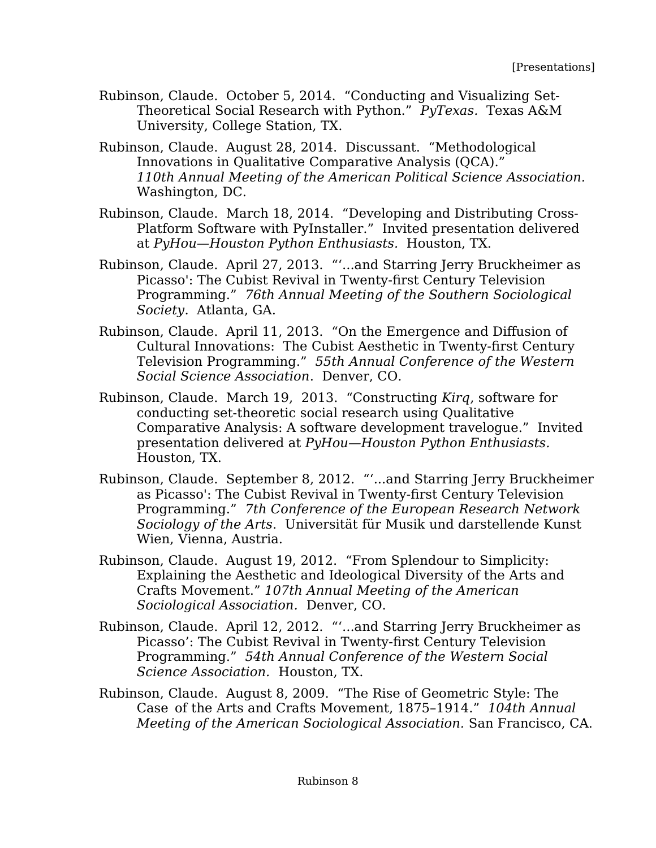- Rubinson, Claude. October 5, 2014. "Conducting and Visualizing Set-Theoretical Social Research with Python." *PyTexas.* Texas A&M University, College Station, TX.
- Rubinson, Claude. August 28, 2014. Discussant. "Methodological Innovations in Qualitative Comparative Analysis (QCA)." *110th Annual Meeting of the American Political Science Association.*  Washington, DC.
- Rubinson, Claude. March 18, 2014. "Developing and Distributing Cross-Platform Software with PyInstaller." Invited presentation delivered at *PyHou—Houston Python Enthusiasts.* Houston, TX.
- Rubinson, Claude. April 27, 2013. "'...and Starring Jerry Bruckheimer as Picasso': The Cubist Revival in Twenty-first Century Television Programming." *76th Annual Meeting of the Southern Sociological Society*. Atlanta, GA.
- Rubinson, Claude. April 11, 2013. "On the Emergence and Diffusion of Cultural Innovations: The Cubist Aesthetic in Twenty-first Century Television Programming." *55th Annual Conference of the Western Social Science Association*. Denver, CO.
- Rubinson, Claude. March 19, 2013. "Constructing *Kirq*, software for conducting set-theoretic social research using Qualitative Comparative Analysis: A software development travelogue." Invited presentation delivered at *PyHou—Houston Python Enthusiasts.* Houston, TX.
- Rubinson, Claude. September 8, 2012. "'...and Starring Jerry Bruckheimer as Picasso': The Cubist Revival in Twenty-first Century Television Programming." *7th Conference of the European Research Network Sociology of the Arts*. Universität für Musik und darstellende Kunst Wien, Vienna, Austria.
- Rubinson, Claude. August 19, 2012. "From Splendour to Simplicity: Explaining the Aesthetic and Ideological Diversity of the Arts and Crafts Movement." *107th Annual Meeting of the American Sociological Association.* Denver, CO.
- Rubinson, Claude. April 12, 2012. "'...and Starring Jerry Bruckheimer as Picasso': The Cubist Revival in Twenty-first Century Television Programming." *54th Annual Conference of the Western Social Science Association.* Houston, TX.
- Rubinson, Claude. August 8, 2009. "The Rise of Geometric Style: The Case of the Arts and Crafts Movement, 1875–1914." *104th Annual Meeting of the American Sociological Association.* San Francisco, CA.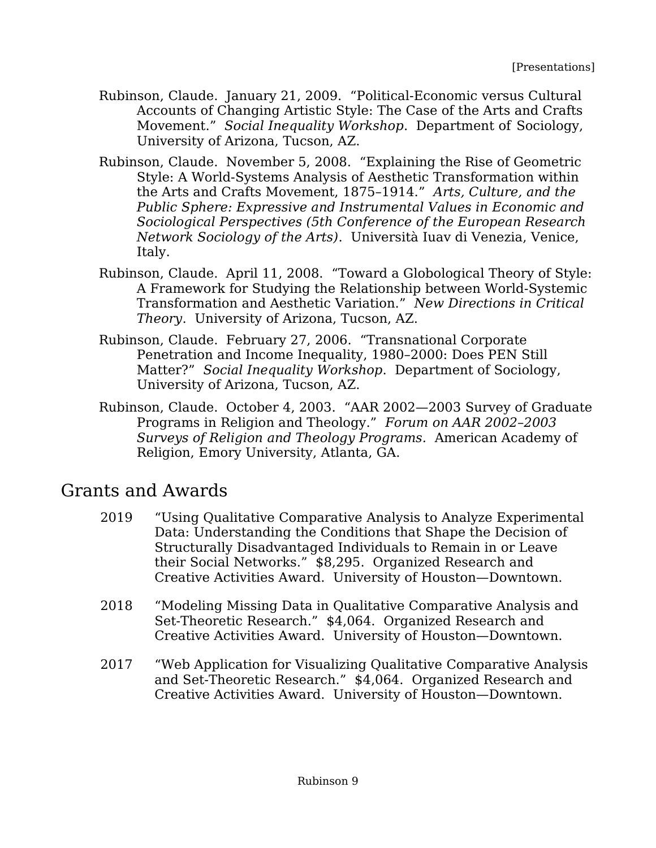- Rubinson, Claude. January 21, 2009. "Political-Economic versus Cultural Accounts of Changing Artistic Style: The Case of the Arts and Crafts Movement." *Social Inequality Workshop*. Department of Sociology, University of Arizona, Tucson, AZ.
- Rubinson, Claude. November 5, 2008. "Explaining the Rise of Geometric Style: A World-Systems Analysis of Aesthetic Transformation within the Arts and Crafts Movement, 1875–1914." *Arts, Culture, and the Public Sphere: Expressive and Instrumental Values in Economic and Sociological Perspectives (5th Conference of the European Research Network Sociology of the Arts)*. Università Iuav di Venezia, Venice, Italy.
- Rubinson, Claude. April 11, 2008. "Toward a Globological Theory of Style: A Framework for Studying the Relationship between World-Systemic Transformation and Aesthetic Variation." *New Directions in Critical Theory*. University of Arizona, Tucson, AZ.
- Rubinson, Claude. February 27, 2006. "Transnational Corporate Penetration and Income Inequality, 1980–2000: Does PEN Still Matter?" *Social Inequality Workshop*.Department of Sociology, University of Arizona, Tucson, AZ.
- Rubinson, Claude. October 4, 2003. "AAR 2002—2003 Survey of Graduate Programs in Religion and Theology." *Forum on AAR 2002–2003 Surveys of Religion and Theology Programs.* American Academy of Religion, Emory University, Atlanta, GA.

## Grants and Awards

- 2019 "Using Qualitative Comparative Analysis to Analyze Experimental Data: Understanding the Conditions that Shape the Decision of Structurally Disadvantaged Individuals to Remain in or Leave their Social Networks." \$8,295. Organized Research and Creative Activities Award. University of Houston—Downtown.
- 2018 "Modeling Missing Data in Qualitative Comparative Analysis and Set-Theoretic Research." \$4,064. Organized Research and Creative Activities Award. University of Houston—Downtown.
- 2017 "Web Application for Visualizing Qualitative Comparative Analysis and Set-Theoretic Research." \$4,064. Organized Research and Creative Activities Award. University of Houston—Downtown.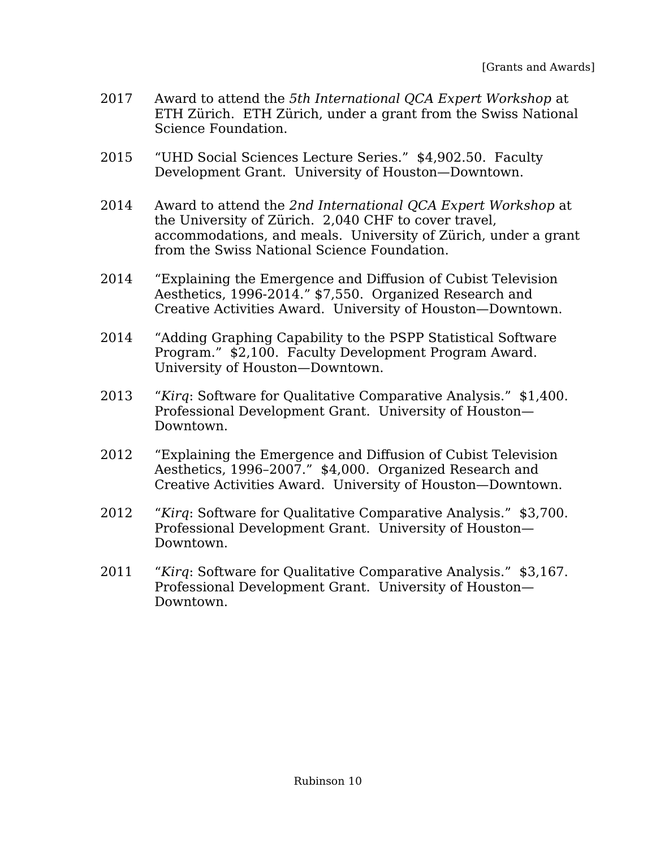- 2017 Award to attend the *5th International QCA Expert Workshop* at ETH Zürich. ETH Zürich, under a grant from the Swiss National Science Foundation.
- 2015 "UHD Social Sciences Lecture Series." \$4,902.50. Faculty Development Grant. University of Houston—Downtown.
- 2014 Award to attend the *2nd International QCA Expert Workshop* at the University of Zürich. 2,040 CHF to cover travel, accommodations, and meals. University of Zürich, under a grant from the Swiss National Science Foundation.
- 2014 "Explaining the Emergence and Diffusion of Cubist Television Aesthetics, 1996-2014." \$7,550. Organized Research and Creative Activities Award. University of Houston—Downtown.
- 2014 "Adding Graphing Capability to the PSPP Statistical Software Program." \$2,100. Faculty Development Program Award. University of Houston—Downtown.
- 2013 "*Kirq*: Software for Qualitative Comparative Analysis." \$1,400. Professional Development Grant. University of Houston— Downtown.
- 2012 "Explaining the Emergence and Diffusion of Cubist Television Aesthetics, 1996–2007." \$4,000. Organized Research and Creative Activities Award. University of Houston—Downtown.
- 2012 "*Kirq*: Software for Qualitative Comparative Analysis." \$3,700. Professional Development Grant. University of Houston— Downtown.
- 2011 "*Kirq*: Software for Qualitative Comparative Analysis." \$3,167. Professional Development Grant. University of Houston— Downtown.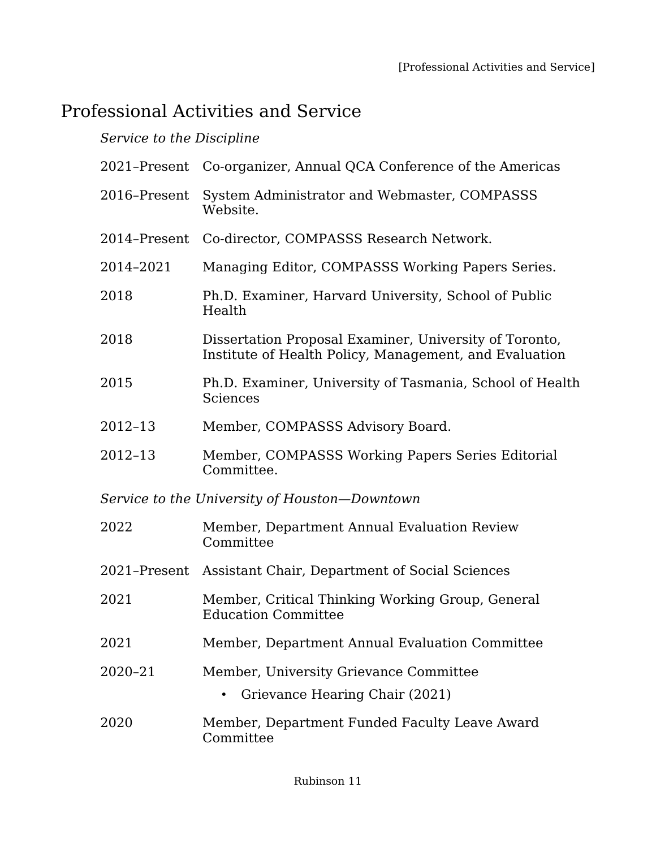## Professional Activities and Service

#### *Service to the Discipline*

|                                               | 2021-Present Co-organizer, Annual QCA Conference of the Americas                                                 |  |
|-----------------------------------------------|------------------------------------------------------------------------------------------------------------------|--|
| 2016-Present                                  | System Administrator and Webmaster, COMPASSS<br>Website.                                                         |  |
| 2014-Present                                  | Co-director, COMPASSS Research Network.                                                                          |  |
| 2014-2021                                     | Managing Editor, COMPASSS Working Papers Series.                                                                 |  |
| 2018                                          | Ph.D. Examiner, Harvard University, School of Public<br>Health                                                   |  |
| 2018                                          | Dissertation Proposal Examiner, University of Toronto,<br>Institute of Health Policy, Management, and Evaluation |  |
| 2015                                          | Ph.D. Examiner, University of Tasmania, School of Health<br><b>Sciences</b>                                      |  |
| 2012-13                                       | Member, COMPASSS Advisory Board.                                                                                 |  |
| $2012 - 13$                                   | Member, COMPASSS Working Papers Series Editorial<br>Committee.                                                   |  |
| Service to the University of Houston-Downtown |                                                                                                                  |  |
| 2022                                          | Member, Department Annual Evaluation Review<br>Committee                                                         |  |
| 2021-Present                                  | Assistant Chair, Department of Social Sciences                                                                   |  |
| 2021                                          | Member, Critical Thinking Working Group, General<br><b>Education Committee</b>                                   |  |
| 2021                                          | Member, Department Annual Evaluation Committee                                                                   |  |
| 2020-21                                       | Member, University Grievance Committee                                                                           |  |
|                                               | Grievance Hearing Chair (2021)                                                                                   |  |
| 2020                                          | Member, Department Funded Faculty Leave Award<br>Committee                                                       |  |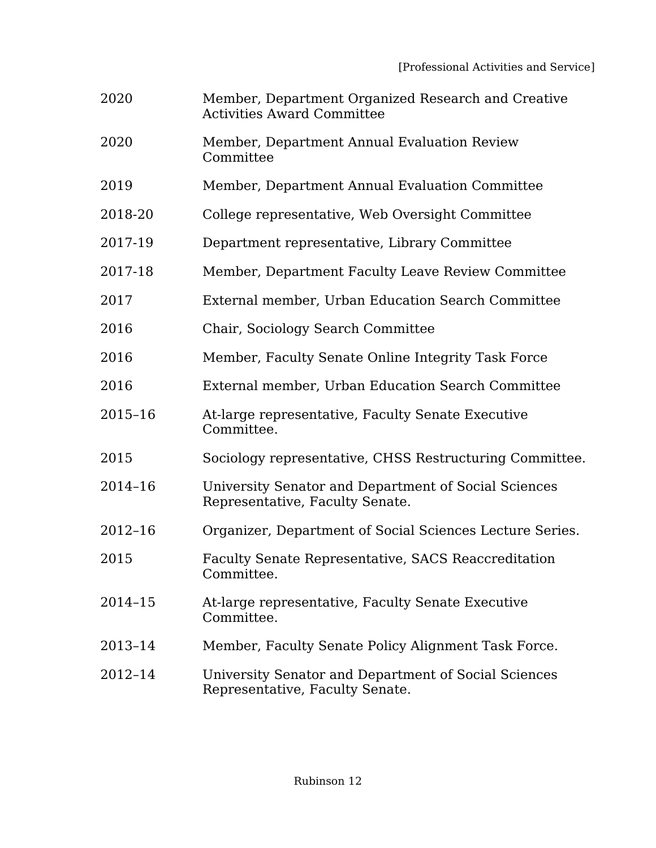- 2020 Member, Department Organized Research and Creative Activities Award Committee
- 2020 Member, Department Annual Evaluation Review **Committee**
- 2019 Member, Department Annual Evaluation Committee
- 2018-20 College representative, Web Oversight Committee
- 2017-19 Department representative, Library Committee
- 2017-18 Member, Department Faculty Leave Review Committee
- 2017 External member, Urban Education Search Committee
- 2016 Chair, Sociology Search Committee
- 2016 Member, Faculty Senate Online Integrity Task Force
- 2016 External member, Urban Education Search Committee
- 2015–16 At-large representative, Faculty Senate Executive Committee.
- 2015 Sociology representative, CHSS Restructuring Committee.
- 2014–16 University Senator and Department of Social Sciences Representative, Faculty Senate.
- 2012–16 Organizer, Department of Social Sciences Lecture Series.
- 2015 Faculty Senate Representative, SACS Reaccreditation Committee.
- 2014–15 At-large representative, Faculty Senate Executive Committee.
- 2013–14 Member, Faculty Senate Policy Alignment Task Force.
- 2012–14 University Senator and Department of Social Sciences Representative, Faculty Senate.